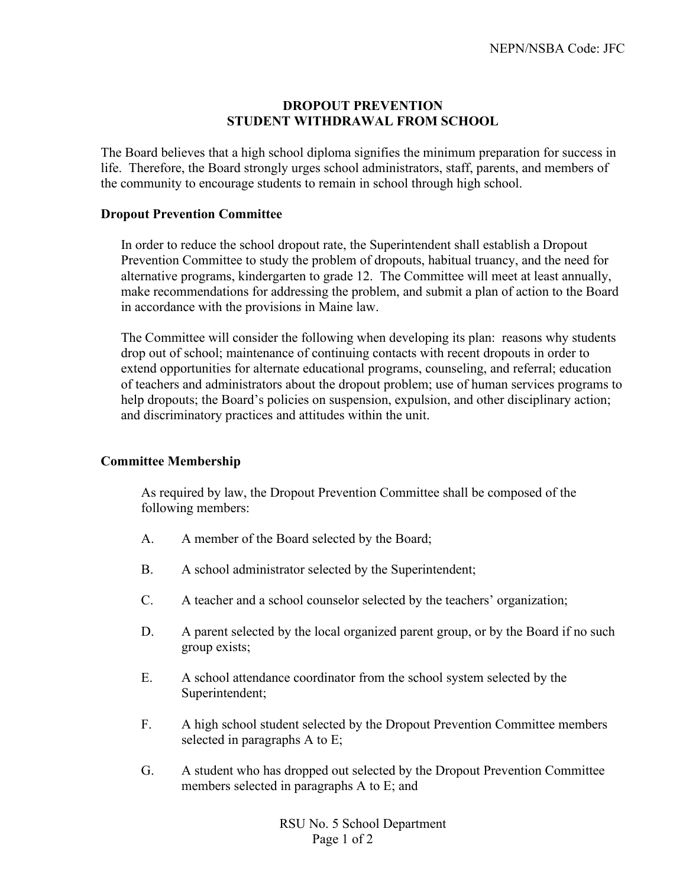## **DROPOUT PREVENTION STUDENT WITHDRAWAL FROM SCHOOL**

The Board believes that a high school diploma signifies the minimum preparation for success in life. Therefore, the Board strongly urges school administrators, staff, parents, and members of the community to encourage students to remain in school through high school.

## **Dropout Prevention Committee**

In order to reduce the school dropout rate, the Superintendent shall establish a Dropout Prevention Committee to study the problem of dropouts, habitual truancy, and the need for alternative programs, kindergarten to grade 12. The Committee will meet at least annually, make recommendations for addressing the problem, and submit a plan of action to the Board in accordance with the provisions in Maine law.

The Committee will consider the following when developing its plan: reasons why students drop out of school; maintenance of continuing contacts with recent dropouts in order to extend opportunities for alternate educational programs, counseling, and referral; education of teachers and administrators about the dropout problem; use of human services programs to help dropouts; the Board's policies on suspension, expulsion, and other disciplinary action; and discriminatory practices and attitudes within the unit.

## **Committee Membership**

As required by law, the Dropout Prevention Committee shall be composed of the following members:

- A. A member of the Board selected by the Board;
- B. A school administrator selected by the Superintendent;
- C. A teacher and a school counselor selected by the teachers' organization;
- D. A parent selected by the local organized parent group, or by the Board if no such group exists;
- E. A school attendance coordinator from the school system selected by the Superintendent;
- F. A high school student selected by the Dropout Prevention Committee members selected in paragraphs A to E;
- G. A student who has dropped out selected by the Dropout Prevention Committee members selected in paragraphs A to E; and

RSU No. 5 School Department Page 1 of 2